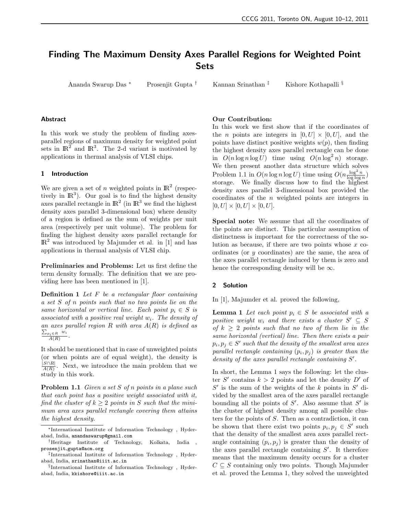# Finding The Maximum Density Axes Parallel Regions for Weighted Point Sets

Ananda Swarup Das <sup>∗</sup> Prosenjit Gupta † Kannan Srinathan ‡ Kishore Kothapalli §

#### Abstract

In this work we study the problem of finding axesparallel regions of maximum density for weighted point sets in  $\mathbb{R}^2$  and  $\mathbb{R}^3$ . The 2-d variant is motivated by applications in thermal analysis of VLSI chips.

## 1 Introduction

We are given a set of n weighted points in  $\mathbb{R}^2$  (respectively in  $\mathbb{R}^3$ ). Our goal is to find the highest density axes parallel rectangle in  $\mathbb{R}^2$  (in  $\mathbb{R}^3$  we find the highest density axes parallel 3-dimensional box) where density of a region is defined as the sum of weights per unit area (respectively per unit volume). The problem for finding the highest density axes parallel rectangle for  $\mathbb{R}^2$  was introduced by Majumder et al. in [1] and has applications in thermal analysis of VLSI chip.

Preliminaries and Problems: Let us first define the term density formally. The definition that we are providing here has been mentioned in [1].

**Definition 1** Let  $F$  be a rectangular floor containing a set S of n points such that no two points lie on the same horizontal or vertical line. Each point  $p_i \in S$  is associated with a positive real weight  $w_i$ . The density of an axes parallel region  $R$  with area  $A(R)$  is defined as  $\frac{\sum_{p_i \in R} w_i}{A(R)}$ .

It should be mentioned that in case of unweighted points (or when points are of equal weight), the density is  $|S \cap R|$  $\frac{S||R|}{A(R)}$ . Next, we introduce the main problem that we study in this work.

**Problem 1.1** Given a set S of n points in a plane such that each point has a positive weight associated with it, find the cluster of  $k \geq 2$  points in S such that the minimum area axes parallel rectangle covering them attains the highest density.

## Our Contribution:

In this work we first show that if the coordinates of the *n* points are integers in  $[0, U] \times [0, U]$ , and the points have distinct positive weights  $w(p)$ , then finding the highest density axes parallel rectangle can be done in  $O(n \log n \log U)$  time using  $O(n \log^2 n)$  storage. We then present another data structure which solves Problem 1.1 in  $O(n \log n \log U)$  time using  $O(n \frac{\log^2 n}{\log \log n})$ storage. We finally discuss how to find the highest density axes parallel 3-dimensional box provided the coordinates of the  $n$  weighted points are integers in  $[0, U] \times [0, U] \times [0, U].$ 

Special note: We assume that all the coordinates of the points are distinct. This particular assumption of distinctness is important for the correctness of the solution as because, if there are two points whose  $x$  coordinates (or y coordinates) are the same, the area of the axes parallel rectangle induced by them is zero and hence the corresponding density will be  $\infty$ .

### 2 Solution

In [1], Majumder et al. proved the following,

**Lemma 1** Let each point  $p_i \in S$  be associated with a positive weight  $w_i$  and there exists a cluster  $S' \subseteq S$ of  $k > 2$  points such that no two of them lie in the same horizontal (vertical) line. Then there exists a pair  $p_i, p_j \in S'$  such that the density of the smallest area axes parallel rectangle containing  $(p_i, p_j)$  is greater than the density of the axes parallel rectangle containing  $S'$ .

In short, the Lemma 1 says the following: let the cluster S' contains  $k > 2$  points and let the density D' of  $S'$  is the sum of the weights of the k points in  $S'$  divided by the smallest area of the axes parallel rectangle bounding all the points of  $S'$ . Also assume that  $S'$  is the cluster of highest density among all possible clusters for the points of S. Then as a contradiction, it can be shown that there exist two points  $p_i, p_j \in S'$  such that the density of the smallest area axes parallel rectangle containing  $(p_i, p_j)$  is greater than the density of the axes parallel rectangle containing  $S'$ . It therefore means that the maximum density occurs for a cluster  $C \subseteq S$  containing only two points. Though Majumder et al. proved the Lemma 1, they solved the unweighted

<sup>∗</sup>International Institute of Information Technology , Hyderabad, India, anandaswarup@gmail.com

<sup>†</sup>Heritage Institute of Technology, Kolkata, India , prosenjit gupta@acm.org

<sup>‡</sup> International Institute of Information Technology , Hyderabad, India, srinathan@iiit.ac.in

<sup>§</sup> International Institute of Information Technology , Hyderabad, India, kkishore@iiit.ac.in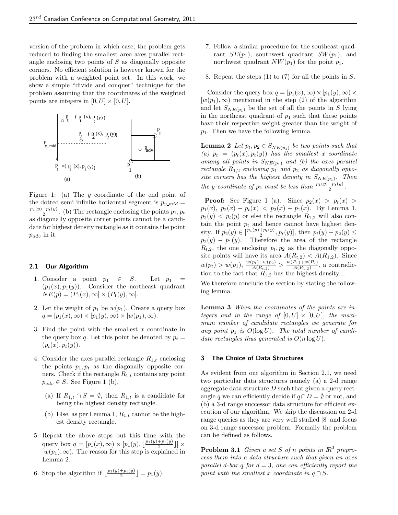version of the problem in which case, the problem gets reduced to finding the smallest area axes parallel rectangle enclosing two points of S as diagonally opposite corners. No efficient solution is however known for the problem with a weighted point set. In this work, we show a simple "divide and conquer" technique for the problem assuming that the coordinates of the weighted points are integers in  $[0, U] \times [0, U]$ .



Figure 1: (a) The  $y$  coordinate of the end point of the dotted semi infinite horizontal segment is  $p_{y\_mid} =$  $\frac{p_1(y)+p_t(y)}{2}$ . (b) The rectangle enclosing the points  $p_1, p_t$ as diagonally opposite corner points cannot be a candidate for highest density rectangle as it contains the point  $p_{adv}$  in it.

## 2.1 Our Algorithm

- 1. Consider a point  $p_1 \in S$ . Let  $p_1 =$  $(p_1(x), p_1(y))$ . Consider the northeast quadrant  $NE(p) = (P_1(x), \infty] \times (P_1(y), \infty].$
- 2. Let the weight of  $p_1$  be  $w(p_1)$ . Create a query box  $q = [p_1(x), \infty) \times [p_1(y), \infty) \times [w(p_1), \infty).$
- 3. Find the point with the smallest  $x$  coordinate in the query box q. Let this point be denoted by  $p_t =$  $(p_t(x), p_t(y)).$
- 4. Consider the axes parallel rectangle  $R_{1,t}$  enclosing the points  $p_1, p_t$  as the diagonally opposite corners. Check if the rectangle  $R_{1,t}$  contains any point  $p_{adv} \in S$ . See Figure 1 (b).
	- (a) If  $R_{1,t} \cap S = \emptyset$ , then  $R_{1,t}$  is a candidate for being the highest density rectangle.
	- (b) Else, as per Lemma 1,  $R_{1,t}$  cannot be the highest density rectangle.
- 5. Repeat the above steps but this time with the query box  $q = [p_1(x), \infty) \times [p_1(y), \lfloor \frac{p_1(y) + p_t(y)}{2} \rfloor] \times$  $[w(p_1), \infty)$ . The reason for this step is explained in Lemma 2.
- 6. Stop the algorithm if  $\lfloor \frac{p_1(y)+p_t(y)}{2} \rfloor = p_1(y)$ .
- 7. Follow a similar procedure for the southeast quadrant  $SE(p_1)$ , southwest quadrant  $SW(p_1)$ , and northwest quadrant  $NW(p_1)$  for the point  $p_1$ .
- 8. Repeat the steps (1) to (7) for all the points in S.

Consider the query box  $q = [p_1(x), \infty) \times [p_1(y), \infty) \times$  $[w(p_1), \infty)$  mentioned in the step (2) of the algorithm and let  $S_{NE(p_1)}$  be the set of all the points in S lying in the northeast quadrant of  $p_1$  such that these points have their respective weight greater than the weight of  $p_1$ . Then we have the following lemma.

**Lemma 2** Let  $p_t, p_2 \in S_{NE(p_1)}$  be two points such that (a)  $p_t = (p_t(x), p_t(y))$  has the smallest x coordinate among all points in  $S_{NE(p_1)}$  and (b) the axes parallel rectangle  $R_{1,2}$  enclosing  $p_1$  and  $p_2$  as diagonally opposite corners has the highest density in  $S_{NE(p_1)}$ . Then the y coordinate of  $p_2$  must be less than  $\frac{p_1(y)+p_t(y)}{2}$ .

**Proof:** See Figure 1 (a). Since  $p_2(x) > p_t(x)$  $p_1(x)$ ,  $p_2(x) - p_t(x) < p_2(x) - p_1(x)$ . By Lemma 1,  $p_2(y)$  <  $p_t(y)$  or else the rectangle  $R_{1,2}$  will also contain the point  $p_t$  and hence cannot have highest density. If  $p_2(y) \in \left[\frac{p_1(y) + p_t(y)}{2}, p_t(y)\right]$ , then  $p_t(y) - p_2(y) \le$  $p_2(y) - p_1(y)$ . Therefore the area of the rectangle  $R_{t,2}$ , the one enclosing  $p_t, p_2$  as the diagonally opposite points will have its area  $A(R_{t,2}) < A(R_{1,2})$ . Since  $w(p_t) > w(p_1), \frac{w(p_t)+w(p_2)}{A(R_{t,2})} > \frac{w(P_1)+w(P_2)}{A(R_{1,2})}$  $\frac{P_1)+w(P_2)}{A(R_{1,2})}$ , a contradiction to the fact that  $R_{1,2}$  has the highest density.

We therefore conclude the section by stating the following lemma.

Lemma 3 When the coordinates of the points are integers and in the range of  $[0, U] \times [0, U]$ , the maximum number of candidate rectangles we generate for any point  $p_1$  is  $O(\log U)$ . The total number of candidate rectangles thus generated is  $O(n \log U)$ .

## 3 The Choice of Data Structures

As evident from our algorithm in Section 2.1, we need two particular data structures namely (a) a 2-d range aggregate data structure  $D$  such that given a query rectangle q we can efficiently decide if  $q \cap D = \emptyset$  or not, and (b) a 3-d range successor data structure for efficient execution of our algorithm. We skip the discussion on 2-d range queries as they are very well studied [8] and focus on 3-d range successor problem. Formally the problem can be defined as follows.

**Problem 3.1** Given a set S of n points in  $\mathbb{R}^3$  preprocess them into a data structure such that given an axes parallel d-box q for  $d = 3$ , one can efficiently report the point with the smallest x coordinate in  $q \cap S$ .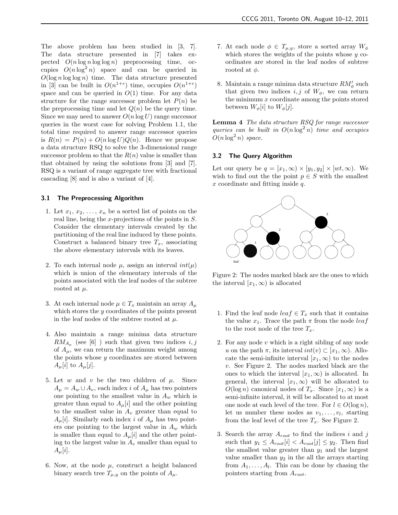The above problem has been studied in [3, 7]. The data structure presented in [7] takes expected  $O(n \log n \log \log n)$  preprocessing time, occupies  $O(n \log^2 n)$  space and can be queried in  $O(\log n \log \log n)$  time. The data structure presented in [3] can be built in  $O(n^{1+\epsilon})$  time, occupies  $O(n^{1+\epsilon})$ space and can be queried in  $O(1)$  time. For any data structure for the range successor problem let  $P(n)$  be the preprocessing time and let  $Q(n)$  be the query time. Since we may need to answer  $O(n \log U)$  range successor queries in the worst case for solving Problem 1.1, the total time required to answer range successor queries is  $R(n) = P(n) + O(n \log U)Q(n)$ . Hence we propose a data structure RSQ to solve the 3-dimensional range successor problem so that the  $R(n)$  value is smaller than that obtained by using the solutions from [3] and [7]. RSQ is a variant of range aggregate tree with fractional cascading [8] and is also a variant of [4].

### 3.1 The Preprocessing Algorithm

- 1. Let  $x_1, x_2, \ldots, x_n$  be a sorted list of points on the real line, being the x-projections of the points in S. Consider the elementary intervals created by the partitioning of the real line induced by these points. Construct a balanced binary tree  $T_x$ , associating the above elementary intervals with its leaves.
- 2. To each internal node  $\mu$ , assign an interval  $int(\mu)$ which is union of the elementary intervals of the points associated with the leaf nodes of the subtree rooted at  $\mu$ .
- 3. At each internal node  $\mu \in T_x$  maintain an array  $A_\mu$ which stores the y coordinates of the points present in the leaf nodes of the subtree rooted at  $\mu$ .
- 4. Also maintain a range minima data structure  $RM_{A_{\mu}}$  (see [6]) such that given two indices  $i, j$ of  $A_{\mu}$ , we can return the maximum weight among the points whose  $y$  coordinates are stored between  $A_\mu[i]$  to  $A_\mu[j]$ .
- 5. Let w and v be the two children of  $\mu$ . Since  $A_{\mu} = A_{w} \cup A_{v}$ , each index *i* of  $A_{\mu}$  has two pointers one pointing to the smallest value in  $A_w$  which is greater than equal to  $A_\mu[i]$  and the other pointing to the smallest value in  $A_v$  greater than equal to  $A_\mu[i]$ . Similarly each index i of  $A_\mu$  has two pointers one pointing to the largest value in  $A_w$  which is smaller than equal to  $A_\mu[i]$  and the other pointing to the largest value in  $A_v$  smaller than equal to  $A_\mu[i]$ .
- 6. Now, at the node  $\mu$ , construct a height balanced binary search tree  $T_{\mu,\nu}$  on the points of  $A_{\mu}$ .
- 7. At each node  $\phi \in T_{\mu,y}$ , store a sorted array  $W_{\phi}$ which stores the weights of the points whose  $y$  coordinates are stored in the leaf nodes of subtree rooted at  $\phi$ .
- 8. Maintain a range minima data structure  $RM_{\phi}^{\prime}$  such that given two indices  $i, j$  of  $W_{\phi}$ , we can return the minimum  $x$  coordinate among the points stored between  $W_{\phi}[i]$  to  $W_{\phi}[j]$ .

Lemma 4 The data structure RSQ for range successor queries can be built in  $O(n \log^2 n)$  time and occupies  $O(n \log^2 n)$  space.

## 3.2 The Query Algorithm

Let our query be  $q = [x_1, \infty) \times [y_1, y_2] \times [wt, \infty)$ . We wish to find out the the point  $p \in S$  with the smallest x coordinate and fitting inside q.



Figure 2: The nodes marked black are the ones to which the interval  $[x_1,\infty)$  is allocated

- 1. Find the leaf node  $leaf \in T_x$  such that it contains the value  $x_1$ . Trace the path  $\pi$  from the node *leaf* to the root node of the tree  $T_x$ .
- 2. For any node  $v$  which is a right sibling of any node u on the path  $\pi$ , its interval  $int(v) \subset [x_1,\infty)$ . Allocate the semi-infinite interval  $[x_1,\infty)$  to the nodes v. See Figure 2. The nodes marked black are the ones to which the interval  $[x_1, \infty)$  is allocated. In general, the interval  $[x_1,\infty)$  will be allocated to  $O(\log n)$  canonical nodes of  $T_x$ . Since  $[x_1,\infty)$  is a semi-infinite interval, it will be allocated to at most one node at each level of the tree. For  $l \in O(\log n)$ , let us number these nodes as  $v_1, \ldots, v_l$ , starting from the leaf level of the tree  $T_x$ . See Figure 2.
- 3. Search the array  $A_{root}$  to find the indices i and j such that  $y_1 \leq A_{root}[i] < A_{root}[j] \leq y_2$ . Then find the smallest value greater than  $y_1$  and the largest value smaller than  $y_2$  in the all the arrays starting from  $A_1, \ldots, A_l$ . This can be done by chasing the pointers starting from  $A_{root}$ .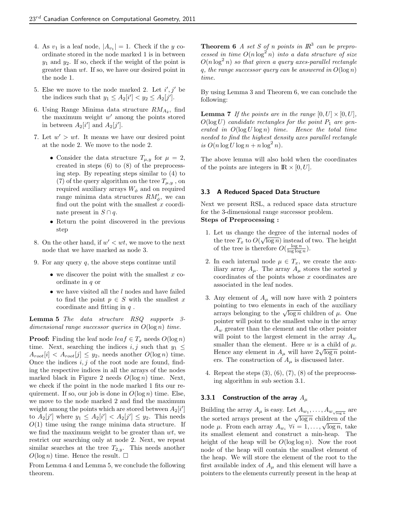- 4. As  $v_1$  is a leaf node,  $|A_{v_1}| = 1$ . Check if the y coordinate stored in the node marked 1 is in between  $y_1$  and  $y_2$ . If so, check if the weight of the point is greater than wt. If so, we have our desired point in the node 1.
- 5. Else we move to the node marked 2. Let  $i', j'$  be the indices such that  $y_1 \leq A_2[i'] < y_2 \leq A_2[j']$ .
- 6. Using Range Minima data structure  $RM_{A_2}$ , find the maximum weight  $w'$  among the points stored in between  $A_2[i']$  and  $A_2[j']$ .
- 7. Let  $w' > wt$ . It means we have our desired point at the node 2. We move to the node 2.
	- Consider the data structure  $T_{\mu,y}$  for  $\mu=2$ , created in steps (6) to (8) of the preprocessing step. By repeating steps similar to (4) to (7) of the query algorithm on the tree  $T_{\mu,y}$ , on required auxiliary arrays  $W_{\phi}$  and on required range minima data structures  $RM'_{\phi}$ , we can find out the point with the smallest  $x$  coordinate present in  $S \cap q$ .
	- Return the point discovered in the previous step
- 8. On the other hand, if  $w' < wt$ , we move to the next node that we have marked as node 3.
- 9. For any query  $q$ , the above steps continue until
	- we discover the point with the smallest  $x$  coordinate in  $q$  or
	- we have visited all the  $l$  nodes and have failed to find the point  $p \in S$  with the smallest x coordinate and fitting in  $q$ .

Lemma 5 The data structure RSQ supports 3dimensional range successor queries in  $O(\log n)$  time.

**Proof:** Finding the leaf node  $leaf \in T_x$  needs  $O(\log n)$ time. Next, searching the indices  $i, j$  such that  $y_1 \leq$  $A_{root}[i] < A_{root}[j] \le y_2$ , needs another  $O(\log n)$  time. Once the indices  $i, j$  of the root node are found, finding the respective indices in all the arrays of the nodes marked black in Figure 2 needs  $O(\log n)$  time. Next, we check if the point in the node marked 1 fits our requirement. If so, our job is done in  $O(\log n)$  time. Else, we move to the node marked 2 and find the maximum weight among the points which are stored between  $A_2[i']$ to  $A_2[j']$  where  $y_1 \leq A_2[i'] < A_2[j'] \leq y_2$ . This needs  $O(1)$  time using the range minima data structure. If we find the maximum weight to be greater than  $wt$ , we restrict our searching only at node 2. Next, we repeat similar searches at the tree  $T_{2,y}$ . This needs another  $O(\log n)$  time. Hence the result.  $\square$ 

From Lemma 4 and Lemma 5, we conclude the following theorem.

**Theorem 6** A set S of n points in  $\mathbb{R}^3$  can be preprocessed in time  $O(n \log^2 n)$  into a data structure of size  $O(n \log^2 n)$  so that given a query axes-parallel rectangle q, the range successor query can be answered in  $O(\log n)$ time.

By using Lemma 3 and Theorem 6, we can conclude the following:

**Lemma 7** If the points are in the range  $[0, U] \times [0, U]$ ,  $O(\log U)$  candidate rectangles for the point  $P_1$  are generated in  $O(\log U \log n)$  time. Hence the total time needed to find the highest density axes parallel rectangle is  $O(n \log U \log n + n \log^2 n)$ .

The above lemma will also hold when the coordinates of the points are integers in  $\mathbb{R} \times [0, U]$ .

## 3.3 A Reduced Spaced Data Structure

Next we present RSL, a reduced space data structure for the 3-dimensional range successor problem. Steps of Preprocessing :

- 1. Let us change the degree of the internal nodes of the tree  $T_x$  to  $O(\sqrt{\log n})$  instead of two. The height of the tree is therefore  $O(\frac{\log n}{\log \log n})$ .
- 2. In each internal node  $\mu \in T_x$ , we create the auxiliary array  $A_\mu$ . The array  $A_\mu$  stores the sorted y  $coordinates of the points whose x coordinates are$ associated in the leaf nodes.
- 3. Any element of  $A_\mu$  will now have with 2 pointers pointing to two elements in each of the auxiliary pointing to two elements in each of the auxiliary<br>arrays belonging to the  $\sqrt{\log n}$  children of  $\mu$ . One pointer will point to the smallest value in the array  $A_w$  greater than the element and the other pointer will point to the largest element in the array  $A_w$ smaller than the element. Here  $w$  is a child of  $\mu$ . smaller than the element. Here w is a child of  $\mu$ .<br>Hence any element in  $A_{\mu}$  will have  $2\sqrt{\log n}$  pointers. The construction of  $A_\mu$  is discussed later.
- 4. Repeat the steps  $(3)$ ,  $(6)$ ,  $(7)$ ,  $(8)$  of the preprocessing algorithm in sub section 3.1.

#### 3.3.1 Construction of the array  $A_{\mu}$

Building the array  $A_{\mu}$  is easy. Let  $A_{w_1}, \ldots, A_{w_{\sqrt{\log n}}}$  are Butting the array  $\Lambda_{\mu}$  is easy. Let  $\Lambda_{w_1}, \ldots, \Lambda_{w_{\sqrt{\log n}}}$  are<br>the sorted arrays present at the  $\sqrt{\log n}$  children of the the sorted arrays present at the  $\sqrt{\log n}$  children of the node  $\mu$ . From each array  $A_{w_i}$   $\forall i = 1, ..., \sqrt{\log n}$ , take its smallest element and construct a min-heap. The height of the heap will be  $O(\log \log n)$ . Now the root node of the heap will contain the smallest element of the heap. We will store the element of the root to the first available index of  $A_\mu$  and this element will have a pointers to the elements currently present in the heap at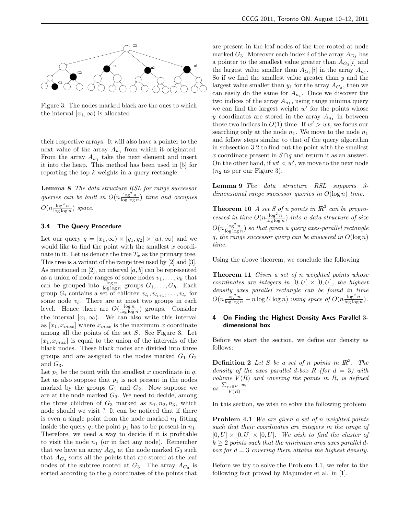

Figure 3: The nodes marked black are the ones to which the interval  $[x_1,\infty)$  is allocated

their respective arrays. It will also have a pointer to the next value of the array  $A_{w_i}$  from which it originated. From the array  $A_{w_i}$  take the next element and insert it into the heap. This method has been used in [5] for reporting the top  $k$  weights in a query rectangle.

Lemma 8 The data structure RSL for range successor queries can be built in  $O(n \frac{\log^2 n}{\log \log n})$  time and occupies  $O(n \frac{\log^2 n}{\log \log n})$  space.

## 3.4 The Query Procedure

Let our query  $q = [x_1, \infty) \times [y_1, y_2] \times [wt, \infty)$  and we would like to find the point with the smallest  $x$  coordinate in it. Let us denote the tree  $T_x$  as the primary tree. This tree is a variant of the range tree used by [2] and [3]. As mentioned in [2], an interval  $[a, b]$  can be represented as a union of node ranges of some nodes  $v_1, \ldots, v_k$  that can be grouped into  $\frac{\log n}{\log \log n}$  groups  $G_1, \ldots, G_h$ . Each group  $G_i$  contains a set of children  $v_{l_i}, v_{l_{i+1}}, \ldots, v_{l_r}$  for some node  $v_l$ . There are at most two groups in each level. Hence there are  $O(\frac{\log n}{\log \log n})$  groups. Consider the interval  $[x_1,\infty)$ . We can also write this interval as  $[x_1, x_{max}]$  where  $x_{max}$  is the maximum x coordinate among all the points of the set S. See Figure 3. Let  $[x_1, x_{max}]$  is equal to the union of the intervals of the black nodes. These black nodes are divided into three groups and are assigned to the nodes marked  $G_1, G_2$ and  $G_3$ .

Let  $p_1$  be the point with the smallest x coordinate in q. Let us also suppose that  $p_1$  is not present in the nodes marked by the groups  $G_1$  and  $G_2$ . Now suppose we are at the node marked  $G_3$ . We need to decide, among the three children of  $G_3$  marked as  $n_1, n_2, n_3$ , which node should we visit ? It can be noticed that if there is even a single point from the node marked  $n_1$  fitting inside the query q, the point  $p_1$  has to be present in  $n_1$ . Therefore, we need a way to decide if it is profitable to visit the node  $n_1$  (or in fact any node). Remember that we have an array  $A_{G_3}$  at the node marked  $G_3$  such that  $A_{G_3}$  sorts all the points that are stored at the leaf nodes of the subtree rooted at  $G_3$ . The array  $A_{G_3}$  is sorted according to the y coordinates of the points that are present in the leaf nodes of the tree rooted at node marked  $G_3$ . Moreover each index i of the array  $A_{G_3}$  has a pointer to the smallest value greater than  $A_{G_3}[i]$  and the largest value smaller than  $A_{G_3}[i]$  in the array  $A_{n_1}$ . So if we find the smallest value greater than  $y$  and the largest value smaller than  $y_1$  for the array  $A_{G_3}$ , then we can easily do the same for  $A_{n_1}$ . Once we discover the two indices of the array  $A_{n_1}$ , using range minima query we can find the largest weight  $w'$  for the points whose y coordinates are stored in the array  $A_{n_1}$  in between those two indices in  $O(1)$  time. If  $w' > wt$ , we focus our searching only at the node  $n_1$ . We move to the node  $n_1$ and follow steps similar to that of the query algorithm in subsection 3.2 to find out the point with the smallest x coordinate present in  $S \cap q$  and return it as an answer. On the other hand, if  $wt < w'$ , we move to the next node  $(n_2 \text{ as per our Figure 3}).$ 

Lemma 9 The data structure RSL supports 3 dimensional range successor queries in  $O(\log n)$  time.

**Theorem 10** A set S of n points in  $\mathbb{R}^3$  can be preprocessed in time  $O(n \frac{\log^2 n}{\log \log n})$  into a data structure of size  $O(n \frac{\log^2 n}{\log \log n})$  so that given a query axes-parallel rectangle q, the range successor query can be answered in  $O(\log n)$ time.

Using the above theorem, we conclude the following

Theorem 11 Given a set of n weighted points whose coordinates are integers in  $[0, U] \times [0, U]$ , the highest density axes parallel rectangle can be found in time  $O(n \frac{\log^2 n}{\log \log n} + n \log U \log n)$  using space of  $O(n \frac{\log^2 n}{\log \log n})$ .

## 4 On Finding the Highest Density Axes Parallel 3 dimensional box

Before we start the section, we define our density as follows:

**Definition 2** Let S be a set of n points in  $\mathbb{R}^3$ . The density of the axes parallel d-box R (for  $d = 3$ ) with volume  $V(R)$  and covering the points in  $R$ , is defined as  $\frac{\sum_{p_i \in R} w_i}{V(R)}$ .

In this section, we wish to solve the following problem

Problem 4.1 We are given a set of n weighted points such that their coordinates are integers in the range of  $[0, U] \times [0, U] \times [0, U]$ . We wish to find the cluster of  $k > 2$  points such that the minimum area axes parallel dbox for  $d = 3$  covering them attains the highest density.

Before we try to solve the Problem 4.1, we refer to the following fact proved by Majumder et al. in [1].